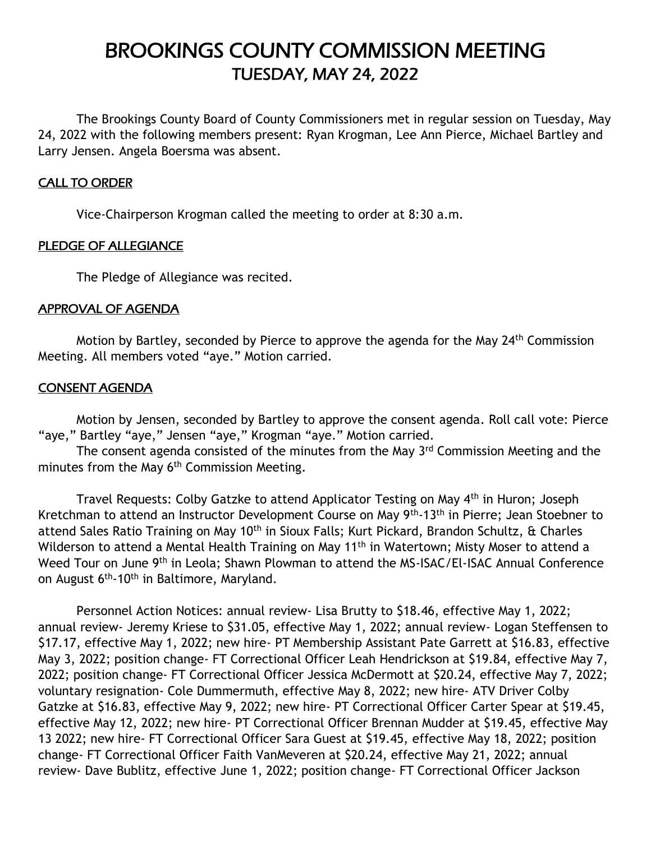# BROOKINGS COUNTY COMMISSION MEETING TUESDAY, MAY 24, 2022

The Brookings County Board of County Commissioners met in regular session on Tuesday, May 24, 2022 with the following members present: Ryan Krogman, Lee Ann Pierce, Michael Bartley and Larry Jensen. Angela Boersma was absent.

# CALL TO ORDER

Vice-Chairperson Krogman called the meeting to order at 8:30 a.m.

# PLEDGE OF ALLEGIANCE

The Pledge of Allegiance was recited.

# APPROVAL OF AGENDA

Motion by Bartley, seconded by Pierce to approve the agenda for the May  $24<sup>th</sup>$  Commission Meeting. All members voted "aye." Motion carried.

# CONSENT AGENDA

Motion by Jensen, seconded by Bartley to approve the consent agenda. Roll call vote: Pierce "aye," Bartley "aye," Jensen "aye," Krogman "aye." Motion carried.

The consent agenda consisted of the minutes from the May 3<sup>rd</sup> Commission Meeting and the minutes from the May  $6<sup>th</sup>$  Commission Meeting.

Travel Requests: Colby Gatzke to attend Applicator Testing on May 4<sup>th</sup> in Huron; Joseph Kretchman to attend an Instructor Development Course on May 9th-13th in Pierre; Jean Stoebner to attend Sales Ratio Training on May 10<sup>th</sup> in Sioux Falls; Kurt Pickard, Brandon Schultz, & Charles Wilderson to attend a Mental Health Training on May 11<sup>th</sup> in Watertown; Misty Moser to attend a Weed Tour on June 9<sup>th</sup> in Leola; Shawn Plowman to attend the MS-ISAC/El-ISAC Annual Conference on August 6th-10th in Baltimore, Maryland.

Personnel Action Notices: annual review- Lisa Brutty to \$18.46, effective May 1, 2022; annual review- Jeremy Kriese to \$31.05, effective May 1, 2022; annual review- Logan Steffensen to \$17.17, effective May 1, 2022; new hire- PT Membership Assistant Pate Garrett at \$16.83, effective May 3, 2022; position change- FT Correctional Officer Leah Hendrickson at \$19.84, effective May 7, 2022; position change- FT Correctional Officer Jessica McDermott at \$20.24, effective May 7, 2022; voluntary resignation- Cole Dummermuth, effective May 8, 2022; new hire- ATV Driver Colby Gatzke at \$16.83, effective May 9, 2022; new hire- PT Correctional Officer Carter Spear at \$19.45, effective May 12, 2022; new hire- PT Correctional Officer Brennan Mudder at \$19.45, effective May 13 2022; new hire- FT Correctional Officer Sara Guest at \$19.45, effective May 18, 2022; position change- FT Correctional Officer Faith VanMeveren at \$20.24, effective May 21, 2022; annual review- Dave Bublitz, effective June 1, 2022; position change- FT Correctional Officer Jackson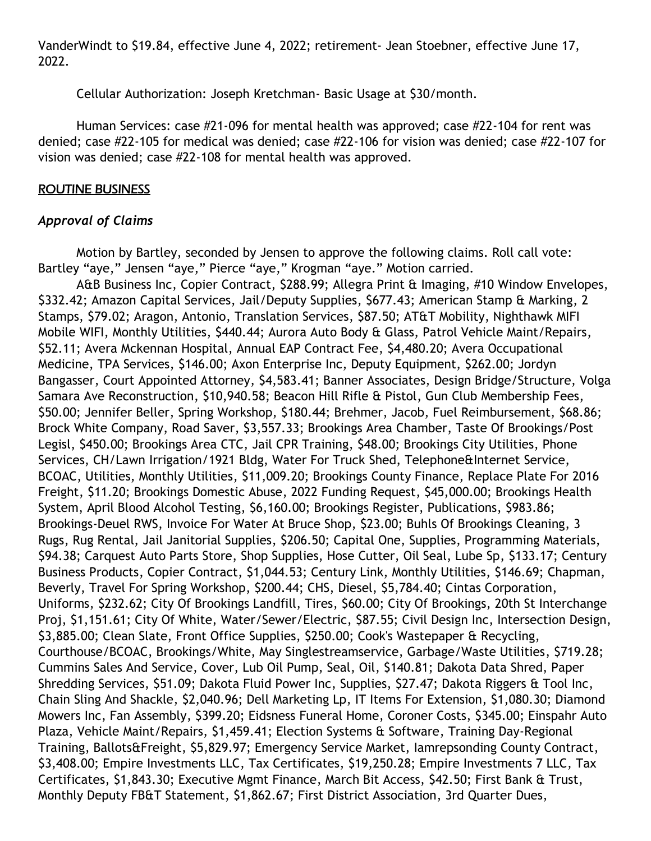VanderWindt to \$19.84, effective June 4, 2022; retirement- Jean Stoebner, effective June 17, 2022.

Cellular Authorization: Joseph Kretchman- Basic Usage at \$30/month.

Human Services: case #21-096 for mental health was approved; case #22-104 for rent was denied; case #22-105 for medical was denied; case #22-106 for vision was denied; case #22-107 for vision was denied; case #22-108 for mental health was approved.

## ROUTINE BUSINESS

# *Approval of Claims*

Motion by Bartley, seconded by Jensen to approve the following claims. Roll call vote: Bartley "aye," Jensen "aye," Pierce "aye," Krogman "aye." Motion carried.

A&B Business Inc, Copier Contract, \$288.99; Allegra Print & Imaging, #10 Window Envelopes, \$332.42; Amazon Capital Services, Jail/Deputy Supplies, \$677.43; American Stamp & Marking, 2 Stamps, \$79.02; Aragon, Antonio, Translation Services, \$87.50; AT&T Mobility, Nighthawk MIFI Mobile WIFI, Monthly Utilities, \$440.44; Aurora Auto Body & Glass, Patrol Vehicle Maint/Repairs, \$52.11; Avera Mckennan Hospital, Annual EAP Contract Fee, \$4,480.20; Avera Occupational Medicine, TPA Services, \$146.00; Axon Enterprise Inc, Deputy Equipment, \$262.00; Jordyn Bangasser, Court Appointed Attorney, \$4,583.41; Banner Associates, Design Bridge/Structure, Volga Samara Ave Reconstruction, \$10,940.58; Beacon Hill Rifle & Pistol, Gun Club Membership Fees, \$50.00; Jennifer Beller, Spring Workshop, \$180.44; Brehmer, Jacob, Fuel Reimbursement, \$68.86; Brock White Company, Road Saver, \$3,557.33; Brookings Area Chamber, Taste Of Brookings/Post Legisl, \$450.00; Brookings Area CTC, Jail CPR Training, \$48.00; Brookings City Utilities, Phone Services, CH/Lawn Irrigation/1921 Bldg, Water For Truck Shed, Telephone&Internet Service, BCOAC, Utilities, Monthly Utilities, \$11,009.20; Brookings County Finance, Replace Plate For 2016 Freight, \$11.20; Brookings Domestic Abuse, 2022 Funding Request, \$45,000.00; Brookings Health System, April Blood Alcohol Testing, \$6,160.00; Brookings Register, Publications, \$983.86; Brookings-Deuel RWS, Invoice For Water At Bruce Shop, \$23.00; Buhls Of Brookings Cleaning, 3 Rugs, Rug Rental, Jail Janitorial Supplies, \$206.50; Capital One, Supplies, Programming Materials, \$94.38; Carquest Auto Parts Store, Shop Supplies, Hose Cutter, Oil Seal, Lube Sp, \$133.17; Century Business Products, Copier Contract, \$1,044.53; Century Link, Monthly Utilities, \$146.69; Chapman, Beverly, Travel For Spring Workshop, \$200.44; CHS, Diesel, \$5,784.40; Cintas Corporation, Uniforms, \$232.62; City Of Brookings Landfill, Tires, \$60.00; City Of Brookings, 20th St Interchange Proj, \$1,151.61; City Of White, Water/Sewer/Electric, \$87.55; Civil Design Inc, Intersection Design, \$3,885.00; Clean Slate, Front Office Supplies, \$250.00; Cook's Wastepaper & Recycling, Courthouse/BCOAC, Brookings/White, May Singlestreamservice, Garbage/Waste Utilities, \$719.28; Cummins Sales And Service, Cover, Lub Oil Pump, Seal, Oil, \$140.81; Dakota Data Shred, Paper Shredding Services, \$51.09; Dakota Fluid Power Inc, Supplies, \$27.47; Dakota Riggers & Tool Inc, Chain Sling And Shackle, \$2,040.96; Dell Marketing Lp, IT Items For Extension, \$1,080.30; Diamond Mowers Inc, Fan Assembly, \$399.20; Eidsness Funeral Home, Coroner Costs, \$345.00; Einspahr Auto Plaza, Vehicle Maint/Repairs, \$1,459.41; Election Systems & Software, Training Day-Regional Training, Ballots&Freight, \$5,829.97; Emergency Service Market, Iamrepsonding County Contract, \$3,408.00; Empire Investments LLC, Tax Certificates, \$19,250.28; Empire Investments 7 LLC, Tax Certificates, \$1,843.30; Executive Mgmt Finance, March Bit Access, \$42.50; First Bank & Trust, Monthly Deputy FB&T Statement, \$1,862.67; First District Association, 3rd Quarter Dues,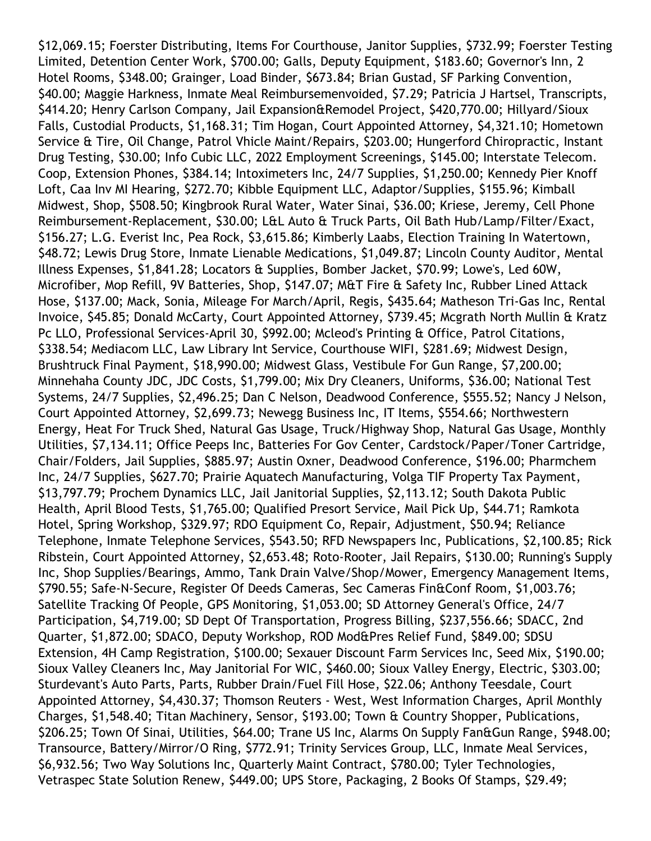\$12,069.15; Foerster Distributing, Items For Courthouse, Janitor Supplies, \$732.99; Foerster Testing Limited, Detention Center Work, \$700.00; Galls, Deputy Equipment, \$183.60; Governor's Inn, 2 Hotel Rooms, \$348.00; Grainger, Load Binder, \$673.84; Brian Gustad, SF Parking Convention, \$40.00; Maggie Harkness, Inmate Meal Reimbursemenvoided, \$7.29; Patricia J Hartsel, Transcripts, \$414.20; Henry Carlson Company, Jail Expansion&Remodel Project, \$420,770.00; Hillyard/Sioux Falls, Custodial Products, \$1,168.31; Tim Hogan, Court Appointed Attorney, \$4,321.10; Hometown Service & Tire, Oil Change, Patrol Vhicle Maint/Repairs, \$203.00; Hungerford Chiropractic, Instant Drug Testing, \$30.00; Info Cubic LLC, 2022 Employment Screenings, \$145.00; Interstate Telecom. Coop, Extension Phones, \$384.14; Intoximeters Inc, 24/7 Supplies, \$1,250.00; Kennedy Pier Knoff Loft, Caa Inv MI Hearing, \$272.70; Kibble Equipment LLC, Adaptor/Supplies, \$155.96; Kimball Midwest, Shop, \$508.50; Kingbrook Rural Water, Water Sinai, \$36.00; Kriese, Jeremy, Cell Phone Reimbursement-Replacement, \$30.00; L&L Auto & Truck Parts, Oil Bath Hub/Lamp/Filter/Exact, \$156.27; L.G. Everist Inc, Pea Rock, \$3,615.86; Kimberly Laabs, Election Training In Watertown, \$48.72; Lewis Drug Store, Inmate Lienable Medications, \$1,049.87; Lincoln County Auditor, Mental Illness Expenses, \$1,841.28; Locators & Supplies, Bomber Jacket, \$70.99; Lowe's, Led 60W, Microfiber, Mop Refill, 9V Batteries, Shop, \$147.07; M&T Fire & Safety Inc, Rubber Lined Attack Hose, \$137.00; Mack, Sonia, Mileage For March/April, Regis, \$435.64; Matheson Tri-Gas Inc, Rental Invoice, \$45.85; Donald McCarty, Court Appointed Attorney, \$739.45; Mcgrath North Mullin & Kratz Pc LLO, Professional Services-April 30, \$992.00; Mcleod's Printing & Office, Patrol Citations, \$338.54; Mediacom LLC, Law Library Int Service, Courthouse WIFI, \$281.69; Midwest Design, Brushtruck Final Payment, \$18,990.00; Midwest Glass, Vestibule For Gun Range, \$7,200.00; Minnehaha County JDC, JDC Costs, \$1,799.00; Mix Dry Cleaners, Uniforms, \$36.00; National Test Systems, 24/7 Supplies, \$2,496.25; Dan C Nelson, Deadwood Conference, \$555.52; Nancy J Nelson, Court Appointed Attorney, \$2,699.73; Newegg Business Inc, IT Items, \$554.66; Northwestern Energy, Heat For Truck Shed, Natural Gas Usage, Truck/Highway Shop, Natural Gas Usage, Monthly Utilities, \$7,134.11; Office Peeps Inc, Batteries For Gov Center, Cardstock/Paper/Toner Cartridge, Chair/Folders, Jail Supplies, \$885.97; Austin Oxner, Deadwood Conference, \$196.00; Pharmchem Inc, 24/7 Supplies, \$627.70; Prairie Aquatech Manufacturing, Volga TIF Property Tax Payment, \$13,797.79; Prochem Dynamics LLC, Jail Janitorial Supplies, \$2,113.12; South Dakota Public Health, April Blood Tests, \$1,765.00; Qualified Presort Service, Mail Pick Up, \$44.71; Ramkota Hotel, Spring Workshop, \$329.97; RDO Equipment Co, Repair, Adjustment, \$50.94; Reliance Telephone, Inmate Telephone Services, \$543.50; RFD Newspapers Inc, Publications, \$2,100.85; Rick Ribstein, Court Appointed Attorney, \$2,653.48; Roto-Rooter, Jail Repairs, \$130.00; Running's Supply Inc, Shop Supplies/Bearings, Ammo, Tank Drain Valve/Shop/Mower, Emergency Management Items, \$790.55; Safe-N-Secure, Register Of Deeds Cameras, Sec Cameras Fin&Conf Room, \$1,003.76; Satellite Tracking Of People, GPS Monitoring, \$1,053.00; SD Attorney General's Office, 24/7 Participation, \$4,719.00; SD Dept Of Transportation, Progress Billing, \$237,556.66; SDACC, 2nd Quarter, \$1,872.00; SDACO, Deputy Workshop, ROD Mod&Pres Relief Fund, \$849.00; SDSU Extension, 4H Camp Registration, \$100.00; Sexauer Discount Farm Services Inc, Seed Mix, \$190.00; Sioux Valley Cleaners Inc, May Janitorial For WIC, \$460.00; Sioux Valley Energy, Electric, \$303.00; Sturdevant's Auto Parts, Parts, Rubber Drain/Fuel Fill Hose, \$22.06; Anthony Teesdale, Court Appointed Attorney, \$4,430.37; Thomson Reuters - West, West Information Charges, April Monthly Charges, \$1,548.40; Titan Machinery, Sensor, \$193.00; Town & Country Shopper, Publications, \$206.25; Town Of Sinai, Utilities, \$64.00; Trane US Inc, Alarms On Supply Fan&Gun Range, \$948.00; Transource, Battery/Mirror/O Ring, \$772.91; Trinity Services Group, LLC, Inmate Meal Services, \$6,932.56; Two Way Solutions Inc, Quarterly Maint Contract, \$780.00; Tyler Technologies, Vetraspec State Solution Renew, \$449.00; UPS Store, Packaging, 2 Books Of Stamps, \$29.49;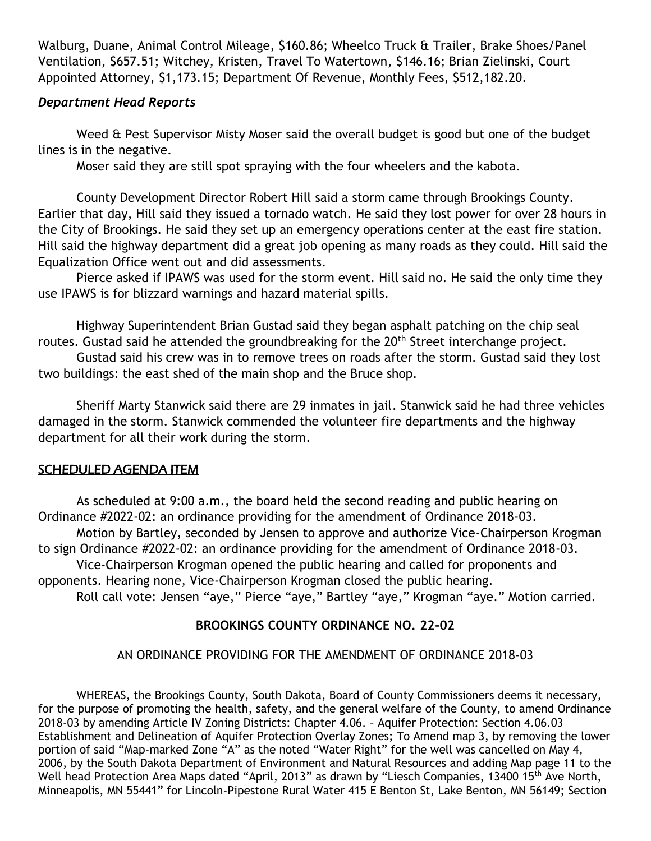Walburg, Duane, Animal Control Mileage, \$160.86; Wheelco Truck & Trailer, Brake Shoes/Panel Ventilation, \$657.51; Witchey, Kristen, Travel To Watertown, \$146.16; Brian Zielinski, Court Appointed Attorney, \$1,173.15; Department Of Revenue, Monthly Fees, \$512,182.20.

# *Department Head Reports*

Weed & Pest Supervisor Misty Moser said the overall budget is good but one of the budget lines is in the negative.

Moser said they are still spot spraying with the four wheelers and the kabota.

County Development Director Robert Hill said a storm came through Brookings County. Earlier that day, Hill said they issued a tornado watch. He said they lost power for over 28 hours in the City of Brookings. He said they set up an emergency operations center at the east fire station. Hill said the highway department did a great job opening as many roads as they could. Hill said the Equalization Office went out and did assessments.

Pierce asked if IPAWS was used for the storm event. Hill said no. He said the only time they use IPAWS is for blizzard warnings and hazard material spills.

Highway Superintendent Brian Gustad said they began asphalt patching on the chip seal routes. Gustad said he attended the groundbreaking for the 20<sup>th</sup> Street interchange project.

Gustad said his crew was in to remove trees on roads after the storm. Gustad said they lost two buildings: the east shed of the main shop and the Bruce shop.

Sheriff Marty Stanwick said there are 29 inmates in jail. Stanwick said he had three vehicles damaged in the storm. Stanwick commended the volunteer fire departments and the highway department for all their work during the storm.

# SCHEDULED AGENDA ITEM

As scheduled at 9:00 a.m., the board held the second reading and public hearing on Ordinance #2022-02: an ordinance providing for the amendment of Ordinance 2018-03. Motion by Bartley, seconded by Jensen to approve and authorize Vice-Chairperson Krogman to sign Ordinance #2022-02: an ordinance providing for the amendment of Ordinance 2018-03. Vice-Chairperson Krogman opened the public hearing and called for proponents and opponents. Hearing none, Vice-Chairperson Krogman closed the public hearing. Roll call vote: Jensen "aye," Pierce "aye," Bartley "aye," Krogman "aye." Motion carried.

# **BROOKINGS COUNTY ORDINANCE NO. 22-02**

# AN ORDINANCE PROVIDING FOR THE AMENDMENT OF ORDINANCE 2018-03

WHEREAS, the Brookings County, South Dakota, Board of County Commissioners deems it necessary, for the purpose of promoting the health, safety, and the general welfare of the County, to amend Ordinance 2018-03 by amending Article IV Zoning Districts: Chapter 4.06. – Aquifer Protection: Section 4.06.03 Establishment and Delineation of Aquifer Protection Overlay Zones; To Amend map 3, by removing the lower portion of said "Map-marked Zone "A" as the noted "Water Right" for the well was cancelled on May 4, 2006, by the South Dakota Department of Environment and Natural Resources and adding Map page 11 to the Well head Protection Area Maps dated "April, 2013" as drawn by "Liesch Companies, 13400 15<sup>th</sup> Ave North, Minneapolis, MN 55441" for Lincoln-Pipestone Rural Water 415 E Benton St, Lake Benton, MN 56149; Section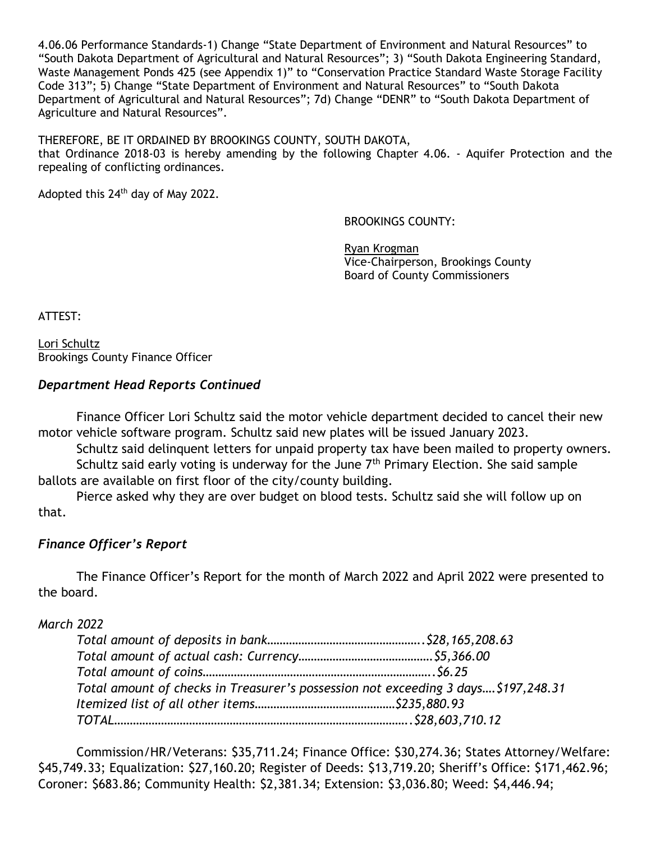4.06.06 Performance Standards-1) Change "State Department of Environment and Natural Resources" to "South Dakota Department of Agricultural and Natural Resources"; 3) "South Dakota Engineering Standard, Waste Management Ponds 425 (see Appendix 1)" to "Conservation Practice Standard Waste Storage Facility Code 313"; 5) Change "State Department of Environment and Natural Resources" to "South Dakota Department of Agricultural and Natural Resources"; 7d) Change "DENR" to "South Dakota Department of Agriculture and Natural Resources".

THEREFORE, BE IT ORDAINED BY BROOKINGS COUNTY, SOUTH DAKOTA, that Ordinance 2018-03 is hereby amending by the following Chapter 4.06. - Aquifer Protection and the repealing of conflicting ordinances.

Adopted this 24th day of May 2022.

BROOKINGS COUNTY:

Ryan Krogman Vice-Chairperson, Brookings County Board of County Commissioners

ATTEST:

Lori Schultz Brookings County Finance Officer

# *Department Head Reports Continued*

Finance Officer Lori Schultz said the motor vehicle department decided to cancel their new motor vehicle software program. Schultz said new plates will be issued January 2023.

Schultz said delinquent letters for unpaid property tax have been mailed to property owners. Schultz said early voting is underway for the June  $7<sup>th</sup>$  Primary Election. She said sample ballots are available on first floor of the city/county building.

Pierce asked why they are over budget on blood tests. Schultz said she will follow up on that.

# *Finance Officer's Report*

The Finance Officer's Report for the month of March 2022 and April 2022 were presented to the board.

#### *March 2022*

| Total amount of checks in Treasurer's possession not exceeding 3 days \$197,248.31 |  |
|------------------------------------------------------------------------------------|--|
|                                                                                    |  |
|                                                                                    |  |

Commission/HR/Veterans: \$35,711.24; Finance Office: \$30,274.36; States Attorney/Welfare: \$45,749.33; Equalization: \$27,160.20; Register of Deeds: \$13,719.20; Sheriff's Office: \$171,462.96; Coroner: \$683.86; Community Health: \$2,381.34; Extension: \$3,036.80; Weed: \$4,446.94;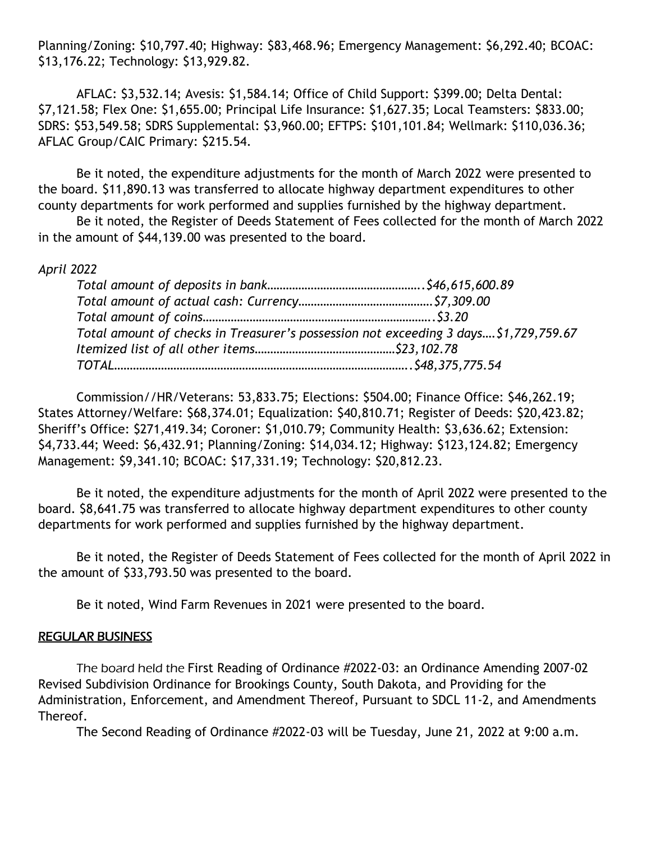Planning/Zoning: \$10,797.40; Highway: \$83,468.96; Emergency Management: \$6,292.40; BCOAC: \$13,176.22; Technology: \$13,929.82.

AFLAC: \$3,532.14; Avesis: \$1,584.14; Office of Child Support: \$399.00; Delta Dental: \$7,121.58; Flex One: \$1,655.00; Principal Life Insurance: \$1,627.35; Local Teamsters: \$833.00; SDRS: \$53,549.58; SDRS Supplemental: \$3,960.00; EFTPS: \$101,101.84; Wellmark: \$110,036.36; AFLAC Group/CAIC Primary: \$215.54.

Be it noted, the expenditure adjustments for the month of March 2022 were presented to the board. \$11,890.13 was transferred to allocate highway department expenditures to other county departments for work performed and supplies furnished by the highway department.

Be it noted, the Register of Deeds Statement of Fees collected for the month of March 2022 in the amount of \$44,139.00 was presented to the board.

### *April 2022*

| Total amount of checks in Treasurer's possession not exceeding 3 days \$1,729,759.67 |  |
|--------------------------------------------------------------------------------------|--|
|                                                                                      |  |
|                                                                                      |  |

Commission//HR/Veterans: 53,833.75; Elections: \$504.00; Finance Office: \$46,262.19; States Attorney/Welfare: \$68,374.01; Equalization: \$40,810.71; Register of Deeds: \$20,423.82; Sheriff's Office: \$271,419.34; Coroner: \$1,010.79; Community Health: \$3,636.62; Extension: \$4,733.44; Weed: \$6,432.91; Planning/Zoning: \$14,034.12; Highway: \$123,124.82; Emergency Management: \$9,341.10; BCOAC: \$17,331.19; Technology: \$20,812.23.

Be it noted, the expenditure adjustments for the month of April 2022 were presented to the board. \$8,641.75 was transferred to allocate highway department expenditures to other county departments for work performed and supplies furnished by the highway department.

Be it noted, the Register of Deeds Statement of Fees collected for the month of April 2022 in the amount of \$33,793.50 was presented to the board.

Be it noted, Wind Farm Revenues in 2021 were presented to the board.

# REGULAR BUSINESS

The board held the First Reading of Ordinance #2022-03: an Ordinance Amending 2007-02 Revised Subdivision Ordinance for Brookings County, South Dakota, and Providing for the Administration, Enforcement, and Amendment Thereof, Pursuant to SDCL 11-2, and Amendments Thereof.

The Second Reading of Ordinance #2022-03 will be Tuesday, June 21, 2022 at 9:00 a.m.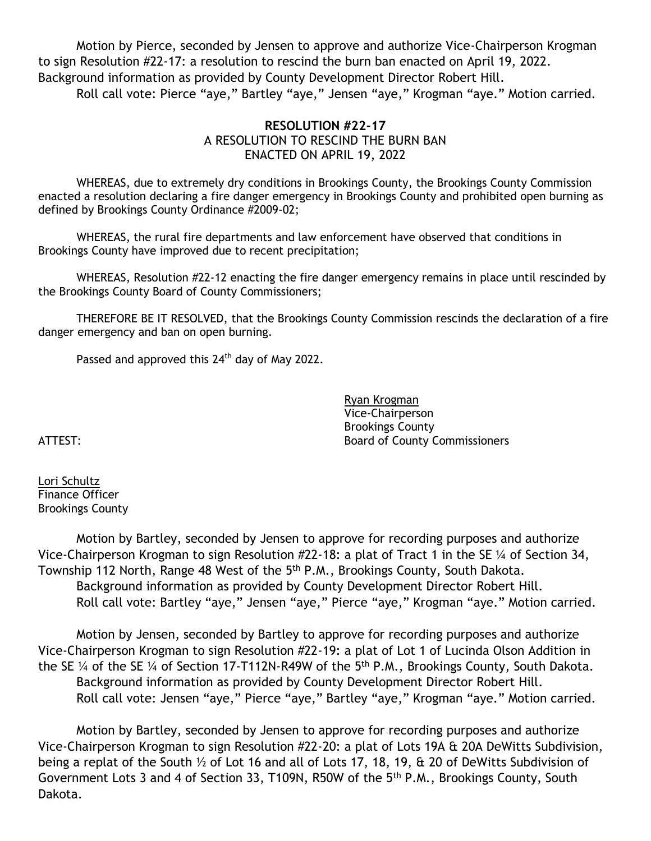Motion by Pierce, seconded by Jensen to approve and authorize Vice-Chairperson Krogman to sign Resolution #22-17: a resolution to rescind the burn ban enacted on April 19, 2022. Background information as provided by County Development Director Robert Hill.

Roll call vote: Pierce "aye," Bartley "aye," Jensen "aye," Krogman "aye." Motion carried.

# **RESOLUTION #22-17** A RESOLUTION TO RESCIND THE BURN BAN ENACTED ON APRIL 19, 2022

WHEREAS, due to extremely dry conditions in Brookings County, the Brookings County Commission enacted a resolution declaring a fire danger emergency in Brookings County and prohibited open burning as defined by Brookings County Ordinance #2009-02;

WHEREAS, the rural fire departments and law enforcement have observed that conditions in Brookings County have improved due to recent precipitation;

WHEREAS, Resolution #22-12 enacting the fire danger emergency remains in place until rescinded by the Brookings County Board of County Commissioners;

THEREFORE BE IT RESOLVED, that the Brookings County Commission rescinds the declaration of a fire danger emergency and ban on open burning.

Passed and approved this 24<sup>th</sup> day of May 2022.

Ryan Krogman Vice-Chairperson Brookings County ATTEST: Board of County Commissioners

Lori Schultz Finance Officer Brookings County

Motion by Bartley, seconded by Jensen to approve for recording purposes and authorize Vice-Chairperson Krogman to sign Resolution #22-18: a plat of Tract 1 in the SE ¼ of Section 34, Township 112 North, Range 48 West of the 5<sup>th</sup> P.M., Brookings County, South Dakota. Background information as provided by County Development Director Robert Hill. Roll call vote: Bartley "aye," Jensen "aye," Pierce "aye," Krogman "aye." Motion carried.

Motion by Jensen, seconded by Bartley to approve for recording purposes and authorize Vice-Chairperson Krogman to sign Resolution #22-19: a plat of Lot 1 of Lucinda Olson Addition in the SE  $\frac{1}{4}$  of the SE  $\frac{1}{4}$  of Section 17-T112N-R49W of the 5<sup>th</sup> P.M., Brookings County, South Dakota. Background information as provided by County Development Director Robert Hill. Roll call vote: Jensen "aye," Pierce "aye," Bartley "aye," Krogman "aye." Motion carried.

Motion by Bartley, seconded by Jensen to approve for recording purposes and authorize Vice-Chairperson Krogman to sign Resolution #22-20: a plat of Lots 19A & 20A DeWitts Subdivision, being a replat of the South ½ of Lot 16 and all of Lots 17, 18, 19, & 20 of DeWitts Subdivision of Government Lots 3 and 4 of Section 33, T109N, R50W of the 5<sup>th</sup> P.M., Brookings County, South Dakota.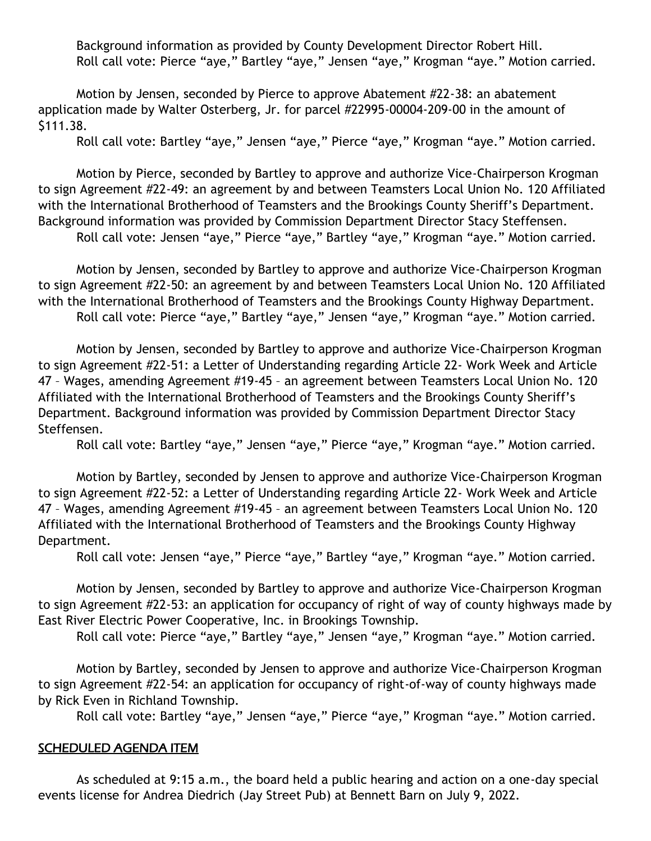Background information as provided by County Development Director Robert Hill. Roll call vote: Pierce "aye," Bartley "aye," Jensen "aye," Krogman "aye." Motion carried.

Motion by Jensen, seconded by Pierce to approve Abatement #22-38: an abatement application made by Walter Osterberg, Jr. for parcel #22995-00004-209-00 in the amount of \$111.38.

Roll call vote: Bartley "aye," Jensen "aye," Pierce "aye," Krogman "aye." Motion carried.

Motion by Pierce, seconded by Bartley to approve and authorize Vice-Chairperson Krogman to sign Agreement #22-49: an agreement by and between Teamsters Local Union No. 120 Affiliated with the International Brotherhood of Teamsters and the Brookings County Sheriff's Department. Background information was provided by Commission Department Director Stacy Steffensen. Roll call vote: Jensen "aye," Pierce "aye," Bartley "aye," Krogman "aye." Motion carried.

Motion by Jensen, seconded by Bartley to approve and authorize Vice-Chairperson Krogman to sign Agreement #22-50: an agreement by and between Teamsters Local Union No. 120 Affiliated with the International Brotherhood of Teamsters and the Brookings County Highway Department. Roll call vote: Pierce "aye," Bartley "aye," Jensen "aye," Krogman "aye." Motion carried.

Motion by Jensen, seconded by Bartley to approve and authorize Vice-Chairperson Krogman to sign Agreement #22-51: a Letter of Understanding regarding Article 22- Work Week and Article 47 – Wages, amending Agreement #19-45 – an agreement between Teamsters Local Union No. 120 Affiliated with the International Brotherhood of Teamsters and the Brookings County Sheriff's Department. Background information was provided by Commission Department Director Stacy Steffensen.

Roll call vote: Bartley "aye," Jensen "aye," Pierce "aye," Krogman "aye." Motion carried.

Motion by Bartley, seconded by Jensen to approve and authorize Vice-Chairperson Krogman to sign Agreement #22-52: a Letter of Understanding regarding Article 22- Work Week and Article 47 – Wages, amending Agreement #19-45 – an agreement between Teamsters Local Union No. 120 Affiliated with the International Brotherhood of Teamsters and the Brookings County Highway Department.

Roll call vote: Jensen "aye," Pierce "aye," Bartley "aye," Krogman "aye." Motion carried.

Motion by Jensen, seconded by Bartley to approve and authorize Vice-Chairperson Krogman to sign Agreement #22-53: an application for occupancy of right of way of county highways made by East River Electric Power Cooperative, Inc. in Brookings Township.

Roll call vote: Pierce "aye," Bartley "aye," Jensen "aye," Krogman "aye." Motion carried.

Motion by Bartley, seconded by Jensen to approve and authorize Vice-Chairperson Krogman to sign Agreement #22-54: an application for occupancy of right-of-way of county highways made by Rick Even in Richland Township.

Roll call vote: Bartley "aye," Jensen "aye," Pierce "aye," Krogman "aye." Motion carried.

#### SCHEDULED AGENDA ITEM

As scheduled at 9:15 a.m., the board held a public hearing and action on a one-day special events license for Andrea Diedrich (Jay Street Pub) at Bennett Barn on July 9, 2022.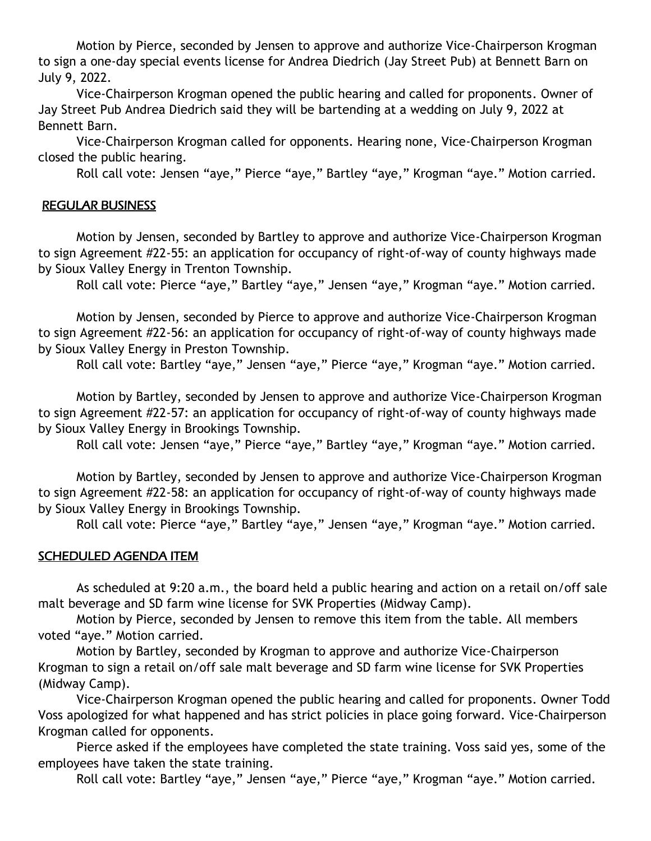Motion by Pierce, seconded by Jensen to approve and authorize Vice-Chairperson Krogman to sign a one-day special events license for Andrea Diedrich (Jay Street Pub) at Bennett Barn on July 9, 2022.

Vice-Chairperson Krogman opened the public hearing and called for proponents. Owner of Jay Street Pub Andrea Diedrich said they will be bartending at a wedding on July 9, 2022 at Bennett Barn.

Vice-Chairperson Krogman called for opponents. Hearing none, Vice-Chairperson Krogman closed the public hearing.

Roll call vote: Jensen "aye," Pierce "aye," Bartley "aye," Krogman "aye." Motion carried.

## REGULAR BUSINESS

Motion by Jensen, seconded by Bartley to approve and authorize Vice-Chairperson Krogman to sign Agreement #22-55: an application for occupancy of right-of-way of county highways made by Sioux Valley Energy in Trenton Township.

Roll call vote: Pierce "aye," Bartley "aye," Jensen "aye," Krogman "aye." Motion carried.

Motion by Jensen, seconded by Pierce to approve and authorize Vice-Chairperson Krogman to sign Agreement #22-56: an application for occupancy of right-of-way of county highways made by Sioux Valley Energy in Preston Township.

Roll call vote: Bartley "aye," Jensen "aye," Pierce "aye," Krogman "aye." Motion carried.

Motion by Bartley, seconded by Jensen to approve and authorize Vice-Chairperson Krogman to sign Agreement #22-57: an application for occupancy of right-of-way of county highways made by Sioux Valley Energy in Brookings Township.

Roll call vote: Jensen "aye," Pierce "aye," Bartley "aye," Krogman "aye." Motion carried.

Motion by Bartley, seconded by Jensen to approve and authorize Vice-Chairperson Krogman to sign Agreement #22-58: an application for occupancy of right-of-way of county highways made by Sioux Valley Energy in Brookings Township.

Roll call vote: Pierce "aye," Bartley "aye," Jensen "aye," Krogman "aye." Motion carried.

# SCHEDULED AGENDA ITEM

As scheduled at 9:20 a.m., the board held a public hearing and action on a retail on/off sale malt beverage and SD farm wine license for SVK Properties (Midway Camp).

Motion by Pierce, seconded by Jensen to remove this item from the table. All members voted "aye." Motion carried.

Motion by Bartley, seconded by Krogman to approve and authorize Vice-Chairperson Krogman to sign a retail on/off sale malt beverage and SD farm wine license for SVK Properties (Midway Camp).

Vice-Chairperson Krogman opened the public hearing and called for proponents. Owner Todd Voss apologized for what happened and has strict policies in place going forward. Vice-Chairperson Krogman called for opponents.

Pierce asked if the employees have completed the state training. Voss said yes, some of the employees have taken the state training.

Roll call vote: Bartley "aye," Jensen "aye," Pierce "aye," Krogman "aye." Motion carried.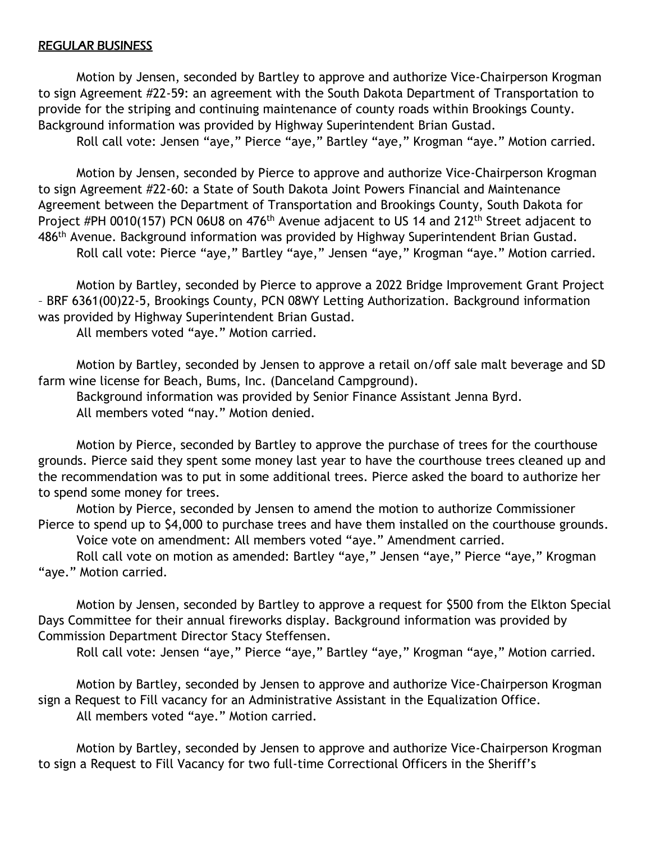#### REGULAR BUSINESS

Motion by Jensen, seconded by Bartley to approve and authorize Vice-Chairperson Krogman to sign Agreement #22-59: an agreement with the South Dakota Department of Transportation to provide for the striping and continuing maintenance of county roads within Brookings County. Background information was provided by Highway Superintendent Brian Gustad.

Roll call vote: Jensen "aye," Pierce "aye," Bartley "aye," Krogman "aye." Motion carried.

Motion by Jensen, seconded by Pierce to approve and authorize Vice-Chairperson Krogman to sign Agreement #22-60: a State of South Dakota Joint Powers Financial and Maintenance Agreement between the Department of Transportation and Brookings County, South Dakota for Project #PH 0010(157) PCN 06U8 on 476<sup>th</sup> Avenue adjacent to US 14 and 212<sup>th</sup> Street adjacent to 486th Avenue. Background information was provided by Highway Superintendent Brian Gustad. Roll call vote: Pierce "aye," Bartley "aye," Jensen "aye," Krogman "aye." Motion carried.

Motion by Bartley, seconded by Pierce to approve a 2022 Bridge Improvement Grant Project – BRF 6361(00)22-5, Brookings County, PCN 08WY Letting Authorization. Background information was provided by Highway Superintendent Brian Gustad.

All members voted "aye." Motion carried.

Motion by Bartley, seconded by Jensen to approve a retail on/off sale malt beverage and SD farm wine license for Beach, Bums, Inc. (Danceland Campground).

Background information was provided by Senior Finance Assistant Jenna Byrd. All members voted "nay." Motion denied.

Motion by Pierce, seconded by Bartley to approve the purchase of trees for the courthouse grounds. Pierce said they spent some money last year to have the courthouse trees cleaned up and the recommendation was to put in some additional trees. Pierce asked the board to authorize her to spend some money for trees.

Motion by Pierce, seconded by Jensen to amend the motion to authorize Commissioner Pierce to spend up to \$4,000 to purchase trees and have them installed on the courthouse grounds.

Voice vote on amendment: All members voted "aye." Amendment carried.

Roll call vote on motion as amended: Bartley "aye," Jensen "aye," Pierce "aye," Krogman "aye." Motion carried.

Motion by Jensen, seconded by Bartley to approve a request for \$500 from the Elkton Special Days Committee for their annual fireworks display. Background information was provided by Commission Department Director Stacy Steffensen.

Roll call vote: Jensen "aye," Pierce "aye," Bartley "aye," Krogman "aye," Motion carried.

Motion by Bartley, seconded by Jensen to approve and authorize Vice-Chairperson Krogman sign a Request to Fill vacancy for an Administrative Assistant in the Equalization Office. All members voted "aye." Motion carried.

Motion by Bartley, seconded by Jensen to approve and authorize Vice-Chairperson Krogman to sign a Request to Fill Vacancy for two full-time Correctional Officers in the Sheriff's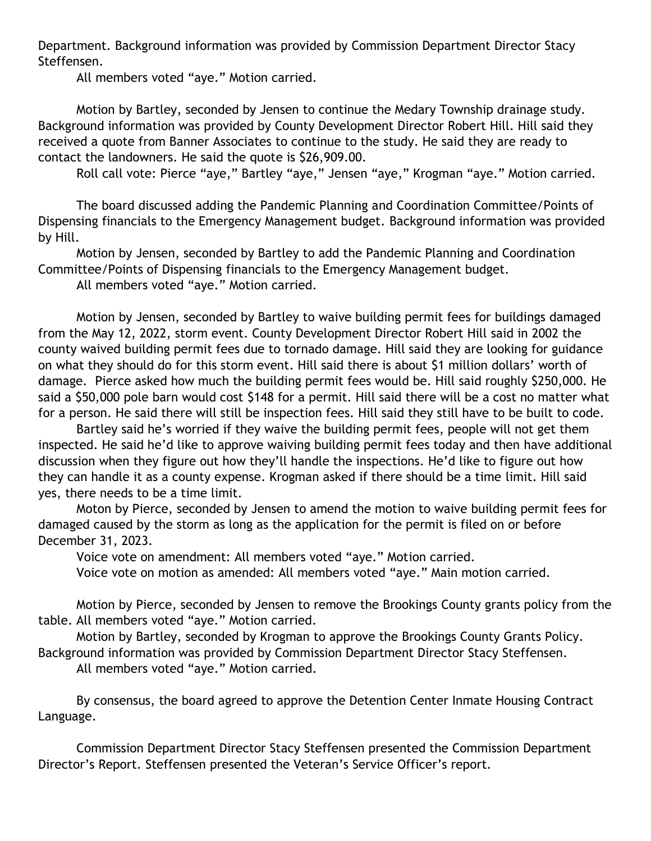Department. Background information was provided by Commission Department Director Stacy Steffensen.

All members voted "aye." Motion carried.

Motion by Bartley, seconded by Jensen to continue the Medary Township drainage study. Background information was provided by County Development Director Robert Hill. Hill said they received a quote from Banner Associates to continue to the study. He said they are ready to contact the landowners. He said the quote is \$26,909.00.

Roll call vote: Pierce "aye," Bartley "aye," Jensen "aye," Krogman "aye." Motion carried.

The board discussed adding the Pandemic Planning and Coordination Committee/Points of Dispensing financials to the Emergency Management budget. Background information was provided by Hill.

Motion by Jensen, seconded by Bartley to add the Pandemic Planning and Coordination Committee/Points of Dispensing financials to the Emergency Management budget.

All members voted "aye." Motion carried.

Motion by Jensen, seconded by Bartley to waive building permit fees for buildings damaged from the May 12, 2022, storm event. County Development Director Robert Hill said in 2002 the county waived building permit fees due to tornado damage. Hill said they are looking for guidance on what they should do for this storm event. Hill said there is about \$1 million dollars' worth of damage. Pierce asked how much the building permit fees would be. Hill said roughly \$250,000. He said a \$50,000 pole barn would cost \$148 for a permit. Hill said there will be a cost no matter what for a person. He said there will still be inspection fees. Hill said they still have to be built to code.

Bartley said he's worried if they waive the building permit fees, people will not get them inspected. He said he'd like to approve waiving building permit fees today and then have additional discussion when they figure out how they'll handle the inspections. He'd like to figure out how they can handle it as a county expense. Krogman asked if there should be a time limit. Hill said yes, there needs to be a time limit.

Moton by Pierce, seconded by Jensen to amend the motion to waive building permit fees for damaged caused by the storm as long as the application for the permit is filed on or before December 31, 2023.

Voice vote on amendment: All members voted "aye." Motion carried. Voice vote on motion as amended: All members voted "aye." Main motion carried.

Motion by Pierce, seconded by Jensen to remove the Brookings County grants policy from the table. All members voted "aye." Motion carried.

Motion by Bartley, seconded by Krogman to approve the Brookings County Grants Policy. Background information was provided by Commission Department Director Stacy Steffensen.

All members voted "aye." Motion carried.

By consensus, the board agreed to approve the Detention Center Inmate Housing Contract Language.

Commission Department Director Stacy Steffensen presented the Commission Department Director's Report. Steffensen presented the Veteran's Service Officer's report.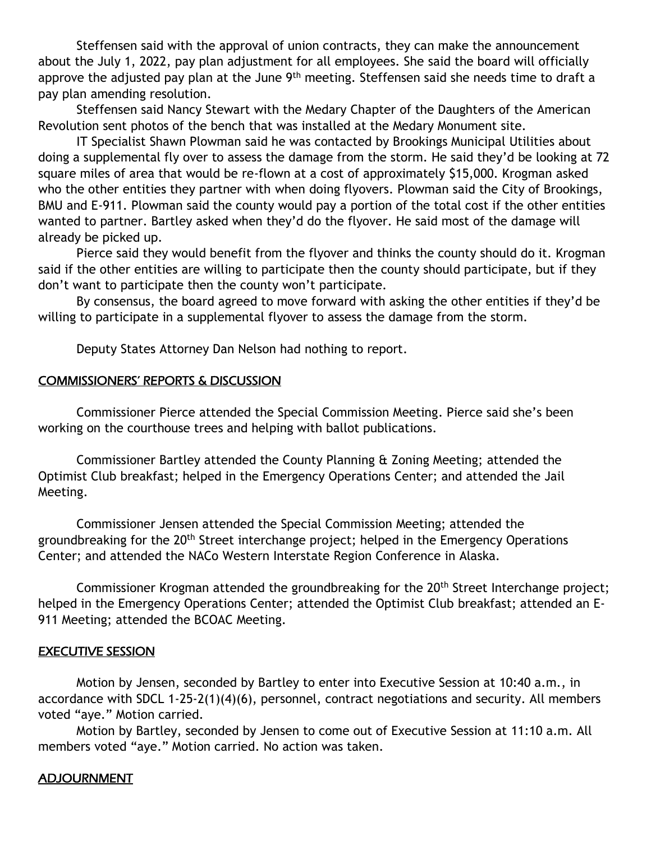Steffensen said with the approval of union contracts, they can make the announcement about the July 1, 2022, pay plan adjustment for all employees. She said the board will officially approve the adjusted pay plan at the June 9<sup>th</sup> meeting. Steffensen said she needs time to draft a pay plan amending resolution.

Steffensen said Nancy Stewart with the Medary Chapter of the Daughters of the American Revolution sent photos of the bench that was installed at the Medary Monument site.

IT Specialist Shawn Plowman said he was contacted by Brookings Municipal Utilities about doing a supplemental fly over to assess the damage from the storm. He said they'd be looking at 72 square miles of area that would be re-flown at a cost of approximately \$15,000. Krogman asked who the other entities they partner with when doing flyovers. Plowman said the City of Brookings, BMU and E-911. Plowman said the county would pay a portion of the total cost if the other entities wanted to partner. Bartley asked when they'd do the flyover. He said most of the damage will already be picked up.

Pierce said they would benefit from the flyover and thinks the county should do it. Krogman said if the other entities are willing to participate then the county should participate, but if they don't want to participate then the county won't participate.

By consensus, the board agreed to move forward with asking the other entities if they'd be willing to participate in a supplemental flyover to assess the damage from the storm.

Deputy States Attorney Dan Nelson had nothing to report.

# COMMISSIONERS' REPORTS & DISCUSSION

Commissioner Pierce attended the Special Commission Meeting. Pierce said she's been working on the courthouse trees and helping with ballot publications.

Commissioner Bartley attended the County Planning & Zoning Meeting; attended the Optimist Club breakfast; helped in the Emergency Operations Center; and attended the Jail Meeting.

Commissioner Jensen attended the Special Commission Meeting; attended the groundbreaking for the 20<sup>th</sup> Street interchange project; helped in the Emergency Operations Center; and attended the NACo Western Interstate Region Conference in Alaska.

Commissioner Krogman attended the groundbreaking for the 20<sup>th</sup> Street Interchange project; helped in the Emergency Operations Center; attended the Optimist Club breakfast; attended an E-911 Meeting; attended the BCOAC Meeting.

#### EXECUTIVE SESSION

Motion by Jensen, seconded by Bartley to enter into Executive Session at 10:40 a.m., in accordance with SDCL 1-25-2(1)(4)(6), personnel, contract negotiations and security. All members voted "aye." Motion carried.

Motion by Bartley, seconded by Jensen to come out of Executive Session at 11:10 a.m. All members voted "aye." Motion carried. No action was taken.

#### **ADJOURNMENT**